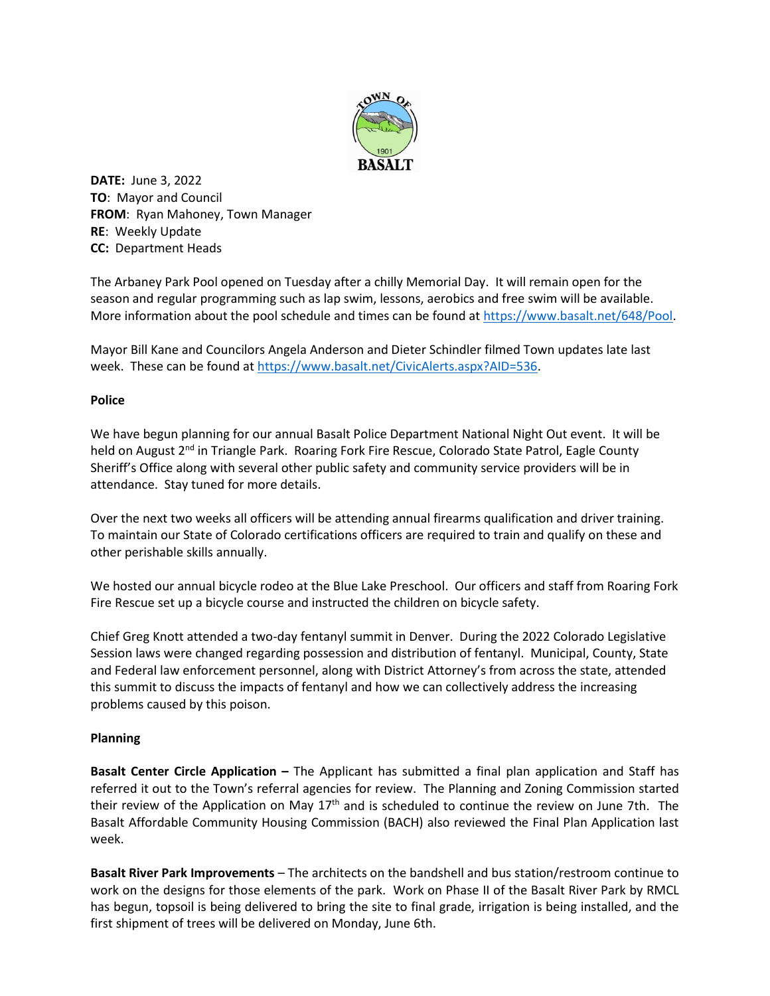

**DATE:** June 3, 2022 **TO**: Mayor and Council **FROM**: Ryan Mahoney, Town Manager **RE**: Weekly Update **CC:** Department Heads

The Arbaney Park Pool opened on Tuesday after a chilly Memorial Day. It will remain open for the season and regular programming such as lap swim, lessons, aerobics and free swim will be available. More information about the pool schedule and times can be found a[t https://www.basalt.net/648/Pool.](https://www.basalt.net/648/Pool)

Mayor Bill Kane and Councilors Angela Anderson and Dieter Schindler filmed Town updates late last week. These can be found at [https://www.basalt.net/CivicAlerts.aspx?AID=536.](https://www.basalt.net/CivicAlerts.aspx?AID=536)

## **Police**

We have begun planning for our annual Basalt Police Department National Night Out event. It will be held on August 2<sup>nd</sup> in Triangle Park. Roaring Fork Fire Rescue, Colorado State Patrol, Eagle County Sheriff's Office along with several other public safety and community service providers will be in attendance. Stay tuned for more details.

Over the next two weeks all officers will be attending annual firearms qualification and driver training. To maintain our State of Colorado certifications officers are required to train and qualify on these and other perishable skills annually.

We hosted our annual bicycle rodeo at the Blue Lake Preschool. Our officers and staff from Roaring Fork Fire Rescue set up a bicycle course and instructed the children on bicycle safety.

Chief Greg Knott attended a two-day fentanyl summit in Denver. During the 2022 Colorado Legislative Session laws were changed regarding possession and distribution of fentanyl. Municipal, County, State and Federal law enforcement personnel, along with District Attorney's from across the state, attended this summit to discuss the impacts of fentanyl and how we can collectively address the increasing problems caused by this poison.

## **Planning**

**Basalt Center Circle Application –** The Applicant has submitted a final plan application and Staff has referred it out to the Town's referral agencies for review. The Planning and Zoning Commission started their review of the Application on May  $17<sup>th</sup>$  and is scheduled to continue the review on June 7th. The Basalt Affordable Community Housing Commission (BACH) also reviewed the Final Plan Application last week.

**Basalt River Park Improvements** – The architects on the bandshell and bus station/restroom continue to work on the designs for those elements of the park. Work on Phase II of the Basalt River Park by RMCL has begun, topsoil is being delivered to bring the site to final grade, irrigation is being installed, and the first shipment of trees will be delivered on Monday, June 6th.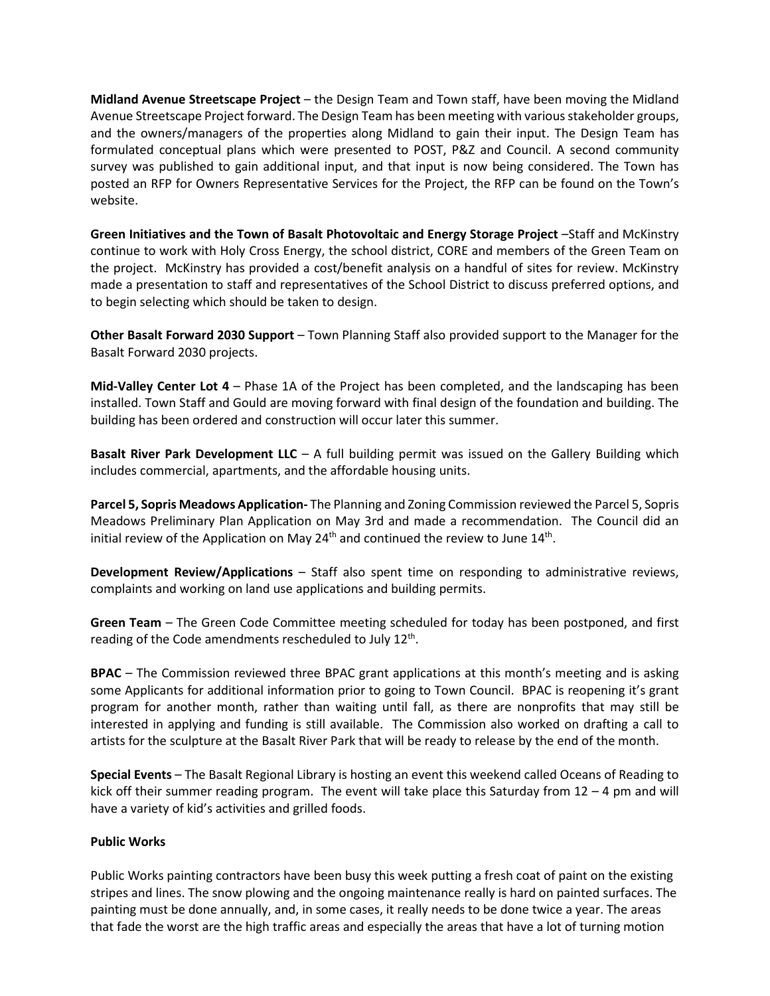**Midland Avenue Streetscape Project** – the Design Team and Town staff, have been moving the Midland Avenue Streetscape Project forward. The Design Team has been meeting with various stakeholder groups, and the owners/managers of the properties along Midland to gain their input. The Design Team has formulated conceptual plans which were presented to POST, P&Z and Council. A second community survey was published to gain additional input, and that input is now being considered. The Town has posted an RFP for Owners Representative Services for the Project, the RFP can be found on the Town's website.

**Green Initiatives and the Town of Basalt Photovoltaic and Energy Storage Project** –Staff and McKinstry continue to work with Holy Cross Energy, the school district, CORE and members of the Green Team on the project. McKinstry has provided a cost/benefit analysis on a handful of sites for review. McKinstry made a presentation to staff and representatives of the School District to discuss preferred options, and to begin selecting which should be taken to design.

**Other Basalt Forward 2030 Support** – Town Planning Staff also provided support to the Manager for the Basalt Forward 2030 projects.

**Mid-Valley Center Lot 4** – Phase 1A of the Project has been completed, and the landscaping has been installed. Town Staff and Gould are moving forward with final design of the foundation and building. The building has been ordered and construction will occur later this summer.

**Basalt River Park Development LLC** – A full building permit was issued on the Gallery Building which includes commercial, apartments, and the affordable housing units.

**Parcel 5, Sopris Meadows Application-** The Planning and Zoning Commission reviewed the Parcel 5, Sopris Meadows Preliminary Plan Application on May 3rd and made a recommendation. The Council did an initial review of the Application on May  $24<sup>th</sup>$  and continued the review to June  $14<sup>th</sup>$ .

**Development Review/Applications** – Staff also spent time on responding to administrative reviews, complaints and working on land use applications and building permits.

**Green Team** – The Green Code Committee meeting scheduled for today has been postponed, and first reading of the Code amendments rescheduled to July 12<sup>th</sup>.

**BPAC** – The Commission reviewed three BPAC grant applications at this month's meeting and is asking some Applicants for additional information prior to going to Town Council. BPAC is reopening it's grant program for another month, rather than waiting until fall, as there are nonprofits that may still be interested in applying and funding is still available. The Commission also worked on drafting a call to artists for the sculpture at the Basalt River Park that will be ready to release by the end of the month.

**Special Events** – The Basalt Regional Library is hosting an event this weekend called Oceans of Reading to kick off their summer reading program. The event will take place this Saturday from 12 – 4 pm and will have a variety of kid's activities and grilled foods.

## **Public Works**

Public Works painting contractors have been busy this week putting a fresh coat of paint on the existing stripes and lines. The snow plowing and the ongoing maintenance really is hard on painted surfaces. The painting must be done annually, and, in some cases, it really needs to be done twice a year. The areas that fade the worst are the high traffic areas and especially the areas that have a lot of turning motion